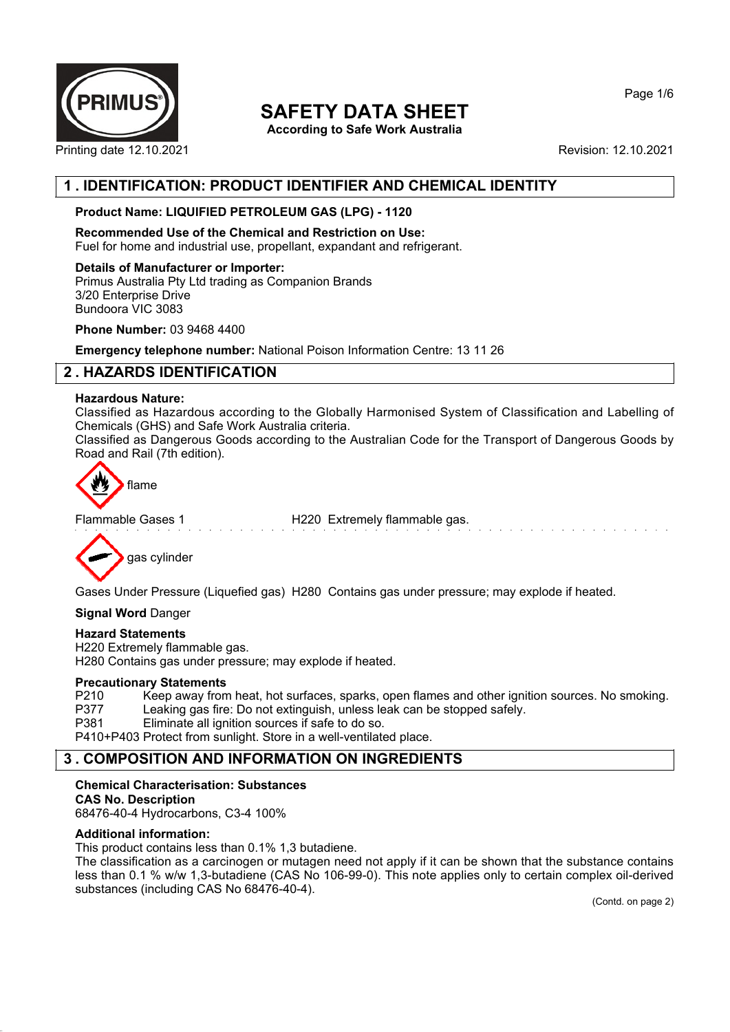

**According to Safe Work Australia**

Printing date 12.10.2021 **Revision: 12.10.2021** 

# **1 . IDENTIFICATION: PRODUCT IDENTIFIER AND CHEMICAL IDENTITY**

## **Product Name: LIQUIFIED PETROLEUM GAS (LPG) - 1120**

**Recommended Use of the Chemical and Restriction on Use:** Fuel for home and industrial use, propellant, expandant and refrigerant.

## **Details of Manufacturer or Importer:**

Primus Australia Pty Ltd trading as Companion Brands 3/20 Enterprise Drive Bundoora VIC 3083

**Phone Number:** 03 9468 4400

**Emergency telephone number:** National Poison Information Centre: 13 11 26

# **2 . HAZARDS IDENTIFICATION**

## **Hazardous Nature:**

Classified as Hazardous according to the Globally Harmonised System of Classification and Labelling of Chemicals (GHS) and Safe Work Australia criteria.

Classified as Dangerous Goods according to the Australian Code for the Transport of Dangerous Goods by Road and Rail (7th edition).



Flammable Gases 1 H220 Extremely flammable gas.

gas cylinder

Gases Under Pressure (Liquefied gas) H280 Contains gas under pressure; may explode if heated.

## **Signal Word** Danger

## **Hazard Statements**

H220 Extremely flammable gas. H280 Contains gas under pressure; may explode if heated.

## **Precautionary Statements**

P210 Keep away from heat, hot surfaces, sparks, open flames and other ignition sources. No smoking. P377 Leaking gas fire: Do not extinguish, unless leak can be stopped safely. P381 Eliminate all ignition sources if safe to do so.

P410+P403 Protect from sunlight. Store in a well-ventilated place.

# **3 . COMPOSITION AND INFORMATION ON INGREDIENTS**

## **Chemical Characterisation: Substances**

**CAS No. Description** 68476-40-4 Hydrocarbons, C3-4 100%

## **Additional information:**

This product contains less than 0.1% 1,3 butadiene.

The classification as a carcinogen or mutagen need not apply if it can be shown that the substance contains less than 0.1 % w/w 1,3-butadiene (CAS No 106-99-0). This note applies only to certain complex oil-derived substances (including CAS No 68476-40-4).

Page 1/6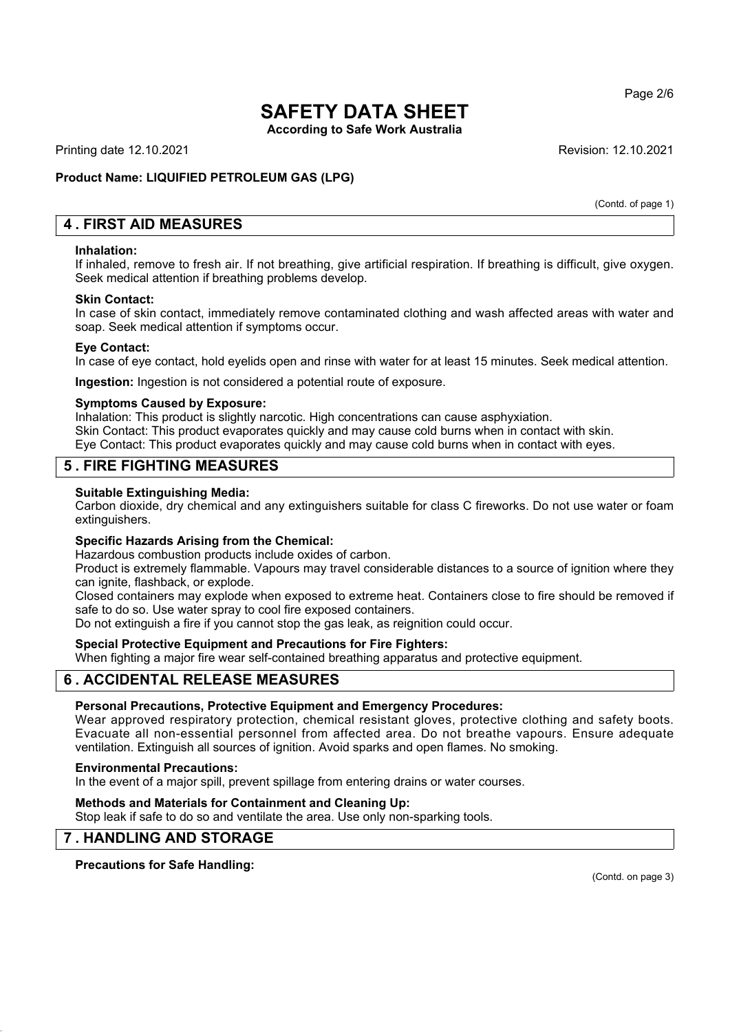**According to Safe Work Australia**

Printing date 12.10.2021 **Revision: 12.10.2021** Revision: 12.10.2021

## **Product Name: LIQUIFIED PETROLEUM GAS (LPG)**

(Contd. of page 1)

# **4 . FIRST AID MEASURES**

#### **Inhalation:**

If inhaled, remove to fresh air. If not breathing, give artificial respiration. If breathing is difficult, give oxygen. Seek medical attention if breathing problems develop.

## **Skin Contact:**

In case of skin contact, immediately remove contaminated clothing and wash affected areas with water and soap. Seek medical attention if symptoms occur.

## **Eye Contact:**

In case of eye contact, hold eyelids open and rinse with water for at least 15 minutes. Seek medical attention.

**Ingestion:** Ingestion is not considered a potential route of exposure.

## **Symptoms Caused by Exposure:**

Inhalation: This product is slightly narcotic. High concentrations can cause asphyxiation. Skin Contact: This product evaporates quickly and may cause cold burns when in contact with skin. Eye Contact: This product evaporates quickly and may cause cold burns when in contact with eyes.

# **5 . FIRE FIGHTING MEASURES**

## **Suitable Extinguishing Media:**

Carbon dioxide, dry chemical and any extinguishers suitable for class C fireworks. Do not use water or foam extinguishers.

## **Specific Hazards Arising from the Chemical:**

Hazardous combustion products include oxides of carbon.

Product is extremely flammable. Vapours may travel considerable distances to a source of ignition where they can ignite, flashback, or explode.

Closed containers may explode when exposed to extreme heat. Containers close to fire should be removed if safe to do so. Use water spray to cool fire exposed containers.

Do not extinguish a fire if you cannot stop the gas leak, as reignition could occur.

## **Special Protective Equipment and Precautions for Fire Fighters:**

When fighting a major fire wear self-contained breathing apparatus and protective equipment.

# **6 . ACCIDENTAL RELEASE MEASURES**

## **Personal Precautions, Protective Equipment and Emergency Procedures:**

Wear approved respiratory protection, chemical resistant gloves, protective clothing and safety boots. Evacuate all non-essential personnel from affected area. Do not breathe vapours. Ensure adequate ventilation. Extinguish all sources of ignition. Avoid sparks and open flames. No smoking.

## **Environmental Precautions:**

In the event of a major spill, prevent spillage from entering drains or water courses.

## **Methods and Materials for Containment and Cleaning Up:**

Stop leak if safe to do so and ventilate the area. Use only non-sparking tools.

# **7 . HANDLING AND STORAGE**

**Precautions for Safe Handling:**

(Contd. on page 3)

Page 2/6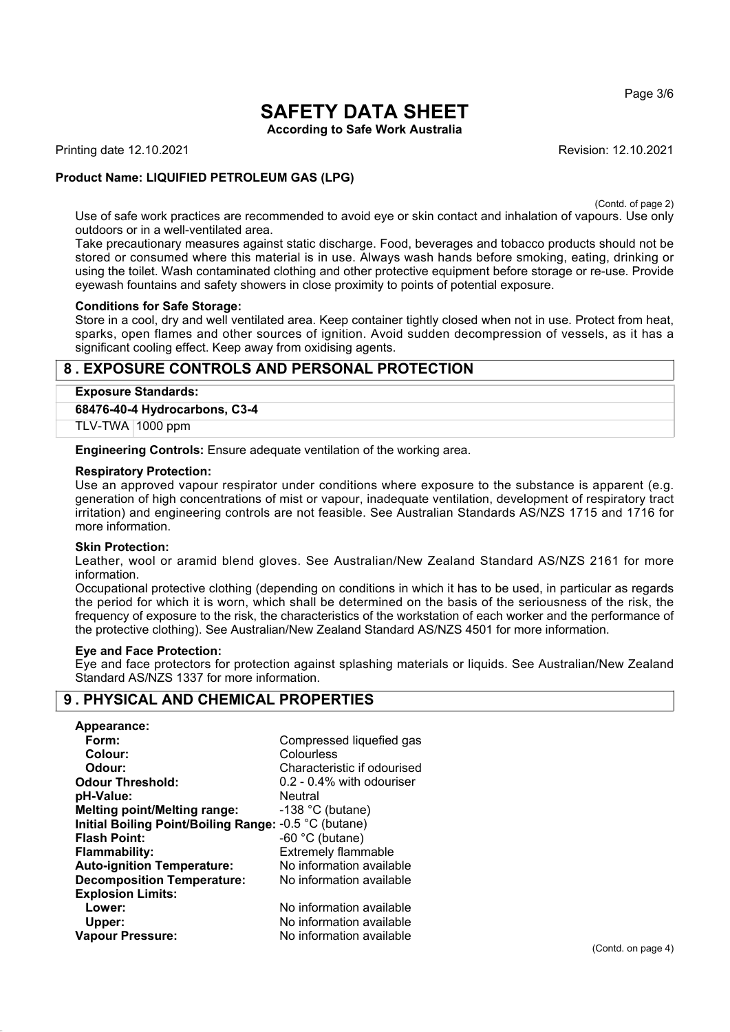Page 3/6

# **SAFETY DATA SHEET According to Safe Work Australia**

Printing date 12.10.2021 **Revision: 12.10.2021** Revision: 12.10.2021

# **Product Name: LIQUIFIED PETROLEUM GAS (LPG)**

(Contd. of page 2)

Use of safe work practices are recommended to avoid eye or skin contact and inhalation of vapours. Use only outdoors or in a well-ventilated area.

Take precautionary measures against static discharge. Food, beverages and tobacco products should not be stored or consumed where this material is in use. Always wash hands before smoking, eating, drinking or using the toilet. Wash contaminated clothing and other protective equipment before storage or re-use. Provide eyewash fountains and safety showers in close proximity to points of potential exposure.

## **Conditions for Safe Storage:**

Store in a cool, dry and well ventilated area. Keep container tightly closed when not in use. Protect from heat, sparks, open flames and other sources of ignition. Avoid sudden decompression of vessels, as it has a significant cooling effect. Keep away from oxidising agents.

# **8 . EXPOSURE CONTROLS AND PERSONAL PROTECTION**

## **Exposure Standards:**

**68476-40-4 Hydrocarbons, C3-4**

TLV-TWA 1000 ppm

**Engineering Controls:** Ensure adequate ventilation of the working area.

#### **Respiratory Protection:**

Use an approved vapour respirator under conditions where exposure to the substance is apparent (e.g. generation of high concentrations of mist or vapour, inadequate ventilation, development of respiratory tract irritation) and engineering controls are not feasible. See Australian Standards AS/NZS 1715 and 1716 for more information.

## **Skin Protection:**

Leather, wool or aramid blend gloves. See Australian/New Zealand Standard AS/NZS 2161 for more information.

Occupational protective clothing (depending on conditions in which it has to be used, in particular as regards the period for which it is worn, which shall be determined on the basis of the seriousness of the risk, the frequency of exposure to the risk, the characteristics of the workstation of each worker and the performance of the protective clothing). See Australian/New Zealand Standard AS/NZS 4501 for more information.

#### **Eye and Face Protection:**

Eye and face protectors for protection against splashing materials or liquids. See Australian/New Zealand Standard AS/NZS 1337 for more information.

# **9 . PHYSICAL AND CHEMICAL PROPERTIES**

| Appearance:                                           |                             |
|-------------------------------------------------------|-----------------------------|
| Form:                                                 | Compressed liquefied gas    |
| Colour:                                               | Colourless                  |
| Odour:                                                | Characteristic if odourised |
| <b>Odour Threshold:</b>                               | 0.2 - 0.4% with odouriser   |
| pH-Value:                                             | Neutral                     |
| <b>Melting point/Melting range:</b>                   | $-138$ °C (butane)          |
| Initial Boiling Point/Boiling Range: -0.5 °C (butane) |                             |
| <b>Flash Point:</b>                                   | $-60$ °C (butane)           |
| <b>Flammability:</b>                                  | <b>Extremely flammable</b>  |
| <b>Auto-ignition Temperature:</b>                     | No information available    |
| <b>Decomposition Temperature:</b>                     | No information available    |
| <b>Explosion Limits:</b>                              |                             |
| Lower:                                                | No information available    |
| Upper:                                                | No information available    |
| <b>Vapour Pressure:</b>                               | No information available    |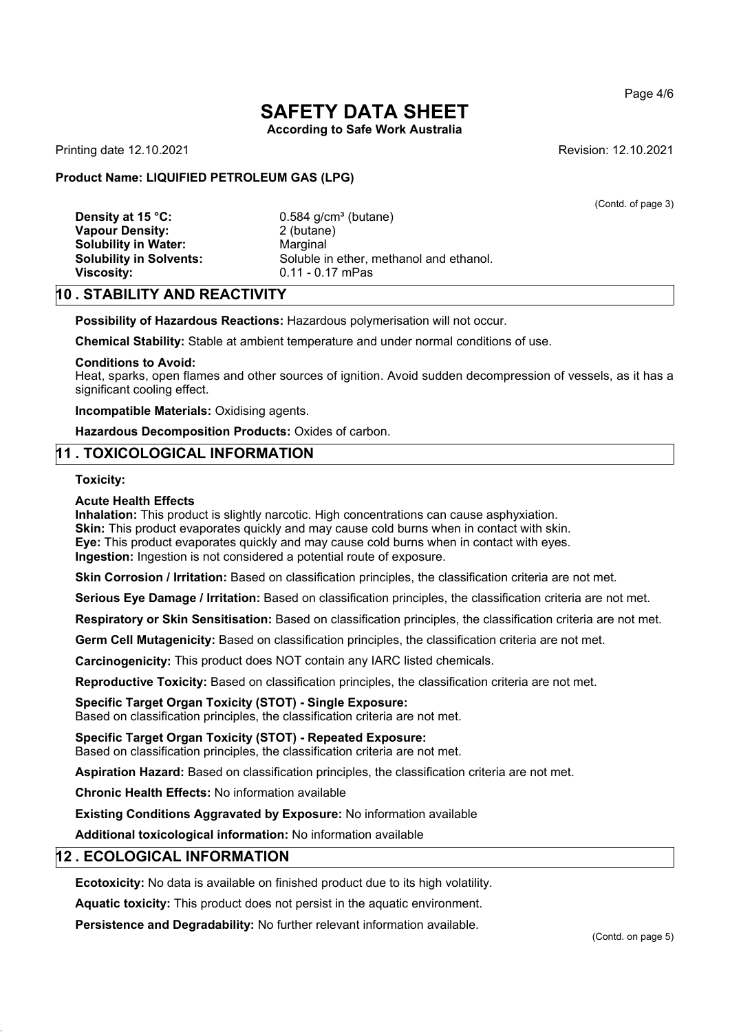**According to Safe Work Australia**

Printing date 12.10.2021 **Revision: 12.10.2021** Revision: 12.10.2021

(Contd. of page 3)

## **Product Name: LIQUIFIED PETROLEUM GAS (LPG)**

**Density at 15 °C:** 0.584 g/cm<sup>3</sup> (butane) **Vapour Density:** 2 (butane) **Solubility in Water:** Marginal **Viscosity:** 0.11 - 0.17 mPas

**Solubility in Solvents:** Soluble in ether, methanol and ethanol.

# **10 . STABILITY AND REACTIVITY**

**Possibility of Hazardous Reactions:** Hazardous polymerisation will not occur.

**Chemical Stability:** Stable at ambient temperature and under normal conditions of use.

#### **Conditions to Avoid:**

Heat, sparks, open flames and other sources of ignition. Avoid sudden decompression of vessels, as it has a significant cooling effect.

**Incompatible Materials:** Oxidising agents.

**Hazardous Decomposition Products:** Oxides of carbon.

## **11 . TOXICOLOGICAL INFORMATION**

#### **Toxicity:**

#### **Acute Health Effects**

**Inhalation:** This product is slightly narcotic. High concentrations can cause asphyxiation. **Skin:** This product evaporates quickly and may cause cold burns when in contact with skin. **Eye:** This product evaporates quickly and may cause cold burns when in contact with eyes. **Ingestion:** Ingestion is not considered a potential route of exposure.

**Skin Corrosion / Irritation:** Based on classification principles, the classification criteria are not met.

**Serious Eye Damage / Irritation:** Based on classification principles, the classification criteria are not met.

**Respiratory or Skin Sensitisation:** Based on classification principles, the classification criteria are not met.

**Germ Cell Mutagenicity:** Based on classification principles, the classification criteria are not met.

**Carcinogenicity:** This product does NOT contain any IARC listed chemicals.

**Reproductive Toxicity:** Based on classification principles, the classification criteria are not met.

#### **Specific Target Organ Toxicity (STOT) - Single Exposure:**

Based on classification principles, the classification criteria are not met.

#### **Specific Target Organ Toxicity (STOT) - Repeated Exposure:**

Based on classification principles, the classification criteria are not met.

**Aspiration Hazard:** Based on classification principles, the classification criteria are not met.

**Chronic Health Effects:** No information available

**Existing Conditions Aggravated by Exposure:** No information available

**Additional toxicological information:** No information available

## **12 . ECOLOGICAL INFORMATION**

**Ecotoxicity:** No data is available on finished product due to its high volatility.

**Aquatic toxicity:** This product does not persist in the aquatic environment.

**Persistence and Degradability:** No further relevant information available.

(Contd. on page 5)

Page 4/6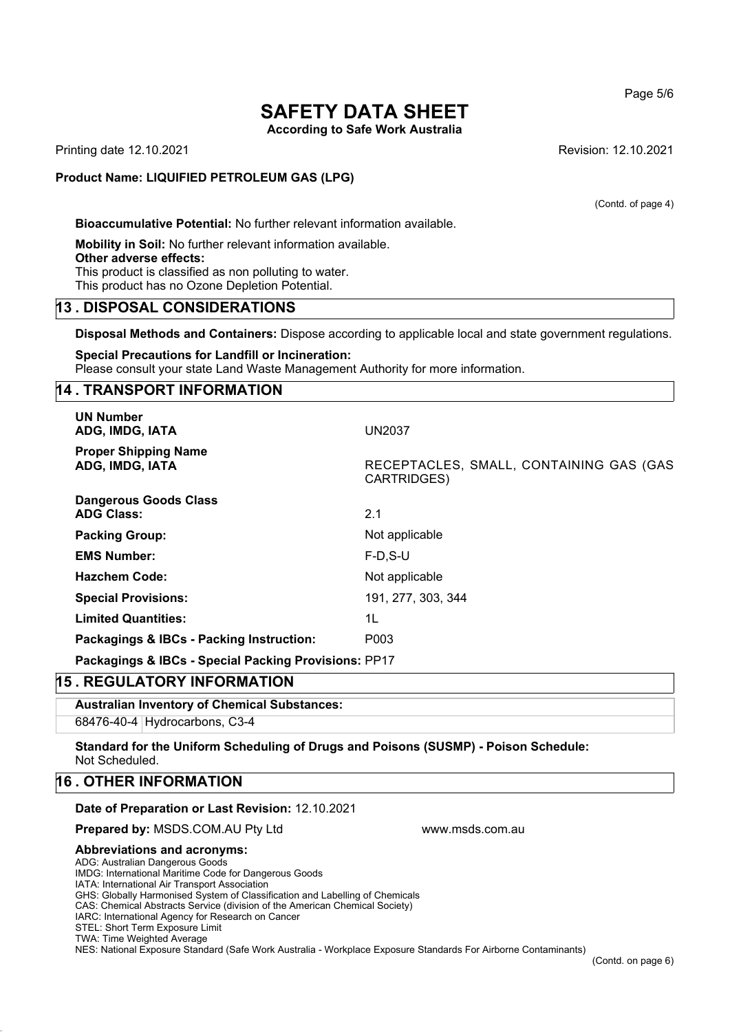**According to Safe Work Australia**

Printing date 12.10.2021 **Revision: 12.10.2021** Revision: 12.10.2021

## **Product Name: LIQUIFIED PETROLEUM GAS (LPG)**

(Contd. of page 4)

**Bioaccumulative Potential:** No further relevant information available.

**Mobility in Soil:** No further relevant information available. **Other adverse effects:** This product is classified as non polluting to water. This product has no Ozone Depletion Potential.

## **13 . DISPOSAL CONSIDERATIONS**

**Disposal Methods and Containers:** Dispose according to applicable local and state government regulations.

**Special Precautions for Landfill or Incineration:** Please consult your state Land Waste Management Authority for more information.

## **14 . TRANSPORT INFORMATION**

| <b>UN Number</b><br>ADG, IMDG, IATA                  | <b>UN2037</b>                                          |
|------------------------------------------------------|--------------------------------------------------------|
| <b>Proper Shipping Name</b><br>ADG, IMDG, IATA       | RECEPTACLES, SMALL, CONTAINING GAS (GAS<br>CARTRIDGES) |
| <b>Dangerous Goods Class</b><br><b>ADG Class:</b>    | 2.1                                                    |
| <b>Packing Group:</b>                                | Not applicable                                         |
| <b>EMS Number:</b>                                   | $F-D.S-U$                                              |
| <b>Hazchem Code:</b>                                 | Not applicable                                         |
| <b>Special Provisions:</b>                           | 191, 277, 303, 344                                     |
| <b>Limited Quantities:</b>                           | 1L                                                     |
| Packagings & IBCs - Packing Instruction:             | P <sub>003</sub>                                       |
| Packagings & IBCs - Special Packing Provisions: PP17 |                                                        |

# **15 . REGULATORY INFORMATION**

**Australian Inventory of Chemical Substances:** 68476-40-4 Hydrocarbons, C3-4

**Standard for the Uniform Scheduling of Drugs and Poisons (SUSMP) - Poison Schedule:** Not Scheduled.

www.msds.com.au

## **16 . OTHER INFORMATION**

## **Date of Preparation or Last Revision:** 12.10.2021

**Prepared by:** MSDS.COM.AU Pty Ltd

#### **Abbreviations and acronyms:**

ADG: Australian Dangerous Goods

IMDG: International Maritime Code for Dangerous Goods

IATA: International Air Transport Association

GHS: Globally Harmonised System of Classification and Labelling of Chemicals

CAS: Chemical Abstracts Service (division of the American Chemical Society)

IARC: International Agency for Research on Cancer

STEL: Short Term Exposure Limit TWA: Time Weighted Average

NES: National Exposure Standard (Safe Work Australia - Workplace Exposure Standards For Airborne Contaminants)

Page 5/6